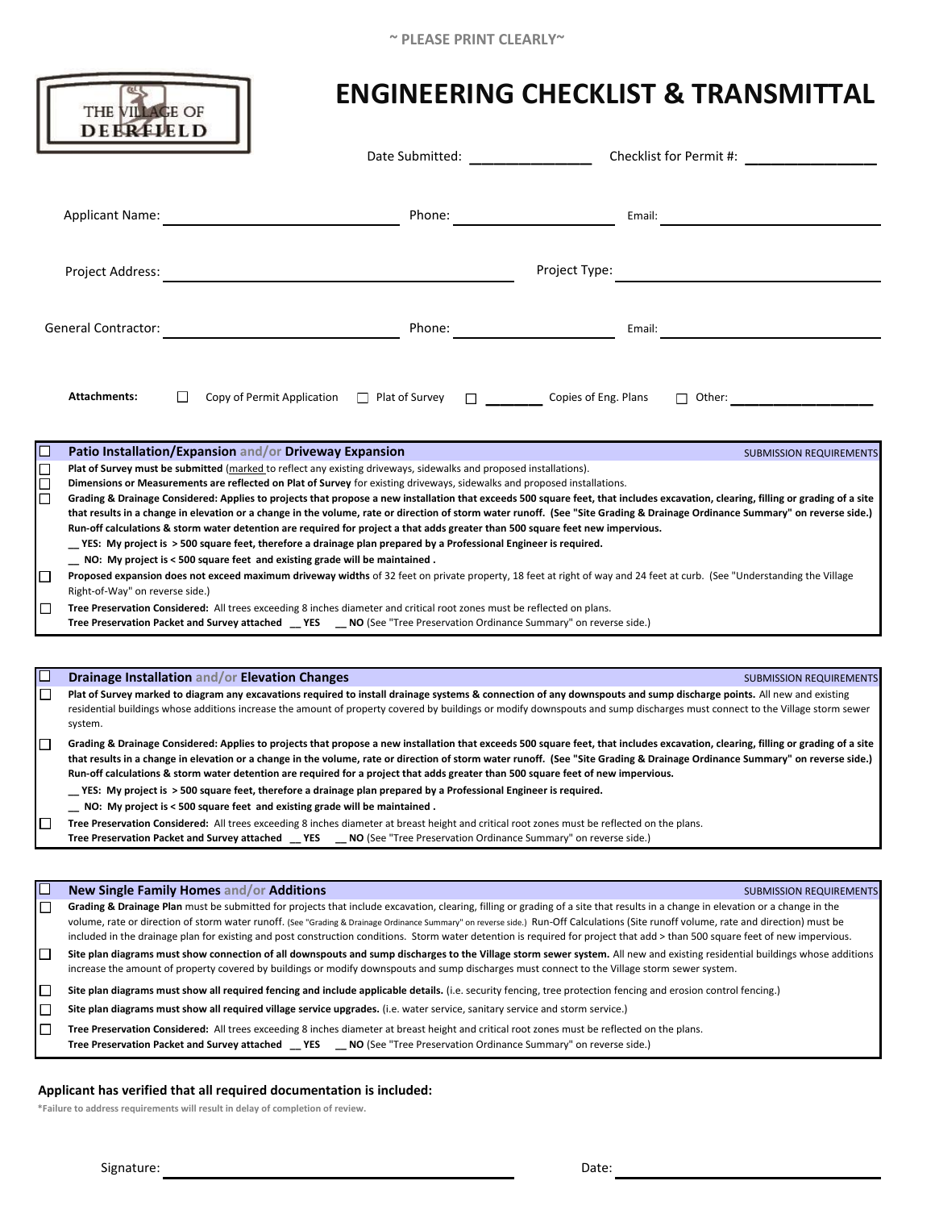|                                      | THE VILLAGE OF<br><b>DEERFIELD</b>                                                                                                                                                                                                                                                                                                                                                                                                                                                                                                                                                                                                                                                                                                                                                                                                                                                                                                                                                                                                                                                                                                                                                                                                                                                                                                                                                                                                                                                                                                                                                                                                                                                                                                                                                                                                                                                                                                                                          |                                                                                                                                                                                                                                | <b>ENGINEERING CHECKLIST &amp; TRANSMITTAL</b> |                                                             |
|--------------------------------------|-----------------------------------------------------------------------------------------------------------------------------------------------------------------------------------------------------------------------------------------------------------------------------------------------------------------------------------------------------------------------------------------------------------------------------------------------------------------------------------------------------------------------------------------------------------------------------------------------------------------------------------------------------------------------------------------------------------------------------------------------------------------------------------------------------------------------------------------------------------------------------------------------------------------------------------------------------------------------------------------------------------------------------------------------------------------------------------------------------------------------------------------------------------------------------------------------------------------------------------------------------------------------------------------------------------------------------------------------------------------------------------------------------------------------------------------------------------------------------------------------------------------------------------------------------------------------------------------------------------------------------------------------------------------------------------------------------------------------------------------------------------------------------------------------------------------------------------------------------------------------------------------------------------------------------------------------------------------------------|--------------------------------------------------------------------------------------------------------------------------------------------------------------------------------------------------------------------------------|------------------------------------------------|-------------------------------------------------------------|
|                                      |                                                                                                                                                                                                                                                                                                                                                                                                                                                                                                                                                                                                                                                                                                                                                                                                                                                                                                                                                                                                                                                                                                                                                                                                                                                                                                                                                                                                                                                                                                                                                                                                                                                                                                                                                                                                                                                                                                                                                                             | Date Submitted: ________________                                                                                                                                                                                               |                                                | Checklist for Permit #: Network and Checklist for Permit #: |
|                                      | <b>Applicant Name:</b>                                                                                                                                                                                                                                                                                                                                                                                                                                                                                                                                                                                                                                                                                                                                                                                                                                                                                                                                                                                                                                                                                                                                                                                                                                                                                                                                                                                                                                                                                                                                                                                                                                                                                                                                                                                                                                                                                                                                                      | Phone: <u>__________________________________</u>                                                                                                                                                                               | Email:                                         |                                                             |
|                                      | Project Address:                                                                                                                                                                                                                                                                                                                                                                                                                                                                                                                                                                                                                                                                                                                                                                                                                                                                                                                                                                                                                                                                                                                                                                                                                                                                                                                                                                                                                                                                                                                                                                                                                                                                                                                                                                                                                                                                                                                                                            |                                                                                                                                                                                                                                | Project Type:                                  |                                                             |
|                                      | <b>General Contractor:</b>                                                                                                                                                                                                                                                                                                                                                                                                                                                                                                                                                                                                                                                                                                                                                                                                                                                                                                                                                                                                                                                                                                                                                                                                                                                                                                                                                                                                                                                                                                                                                                                                                                                                                                                                                                                                                                                                                                                                                  | Phone: and the contract of the contract of the contract of the contract of the contract of the contract of the contract of the contract of the contract of the contract of the contract of the contract of the contract of the | Email:                                         |                                                             |
|                                      | <b>Attachments:</b>                                                                                                                                                                                                                                                                                                                                                                                                                                                                                                                                                                                                                                                                                                                                                                                                                                                                                                                                                                                                                                                                                                                                                                                                                                                                                                                                                                                                                                                                                                                                                                                                                                                                                                                                                                                                                                                                                                                                                         |                                                                                                                                                                                                                                |                                                |                                                             |
| $\Box$<br>$\Box$<br>□<br>ப<br>⊔<br>□ | Patio Installation/Expansion and/or Driveway Expansion<br><b>SUBMISSION REQUIREMENTS</b><br>Plat of Survey must be submitted (marked to reflect any existing driveways, sidewalks and proposed installations).<br>Dimensions or Measurements are reflected on Plat of Survey for existing driveways, sidewalks and proposed installations.<br>Grading & Drainage Considered: Applies to projects that propose a new installation that exceeds 500 square feet, that includes excavation, clearing, filling or grading of a site<br>that results in a change in elevation or a change in the volume, rate or direction of storm water runoff. (See "Site Grading & Drainage Ordinance Summary" on reverse side.)<br>Run-off calculations & storm water detention are required for project a that adds greater than 500 square feet new impervious.<br>_YES: My project is > 500 square feet, therefore a drainage plan prepared by a Professional Engineer is required.<br>_ NO: My project is < 500 square feet and existing grade will be maintained.<br>Proposed expansion does not exceed maximum driveway widths of 32 feet on private property, 18 feet at right of way and 24 feet at curb. (See "Understanding the Village<br>Right-of-Way" on reverse side.)<br>Tree Preservation Considered: All trees exceeding 8 inches diameter and critical root zones must be reflected on plans.<br>Tree Preservation Packet and Survey attached _YES _NO (See "Tree Preservation Ordinance Summary" on reverse side.)<br>Drainage Installation and/or Elevation Changes<br><b>SUBMISSION REQUIREMENTS</b><br>Plat of Survey marked to diagram any excavations required to install drainage systems & connection of any downspouts and sump discharge points. All new and existing<br>residential buildings whose additions increase the amount of property covered by buildings or modify downspouts and sump discharges must connect to the Village storm sewer<br>system. |                                                                                                                                                                                                                                |                                                |                                                             |
| $\Box$<br>ப                          | Grading & Drainage Considered: Applies to projects that propose a new installation that exceeds 500 square feet, that includes excavation, clearing, filling or grading of a site<br>that results in a change in elevation or a change in the volume, rate or direction of storm water runoff. (See "Site Grading & Drainage Ordinance Summary" on reverse side.)<br>Run-off calculations & storm water detention are required for a project that adds greater than 500 square feet of new impervious.<br>YES: My project is > 500 square feet, therefore a drainage plan prepared by a Professional Engineer is required.<br>NO: My project is < 500 square feet and existing grade will be maintained.<br>Tree Preservation Considered: All trees exceeding 8 inches diameter at breast height and critical root zones must be reflected on the plans.<br>Tree Preservation Packet and Survey attached __ YES __ NO (See "Tree Preservation Ordinance Summary" on reverse side.)                                                                                                                                                                                                                                                                                                                                                                                                                                                                                                                                                                                                                                                                                                                                                                                                                                                                                                                                                                                          |                                                                                                                                                                                                                                |                                                |                                                             |
|                                      |                                                                                                                                                                                                                                                                                                                                                                                                                                                                                                                                                                                                                                                                                                                                                                                                                                                                                                                                                                                                                                                                                                                                                                                                                                                                                                                                                                                                                                                                                                                                                                                                                                                                                                                                                                                                                                                                                                                                                                             |                                                                                                                                                                                                                                |                                                |                                                             |
|                                      | New Single Family Homes and/or Additions                                                                                                                                                                                                                                                                                                                                                                                                                                                                                                                                                                                                                                                                                                                                                                                                                                                                                                                                                                                                                                                                                                                                                                                                                                                                                                                                                                                                                                                                                                                                                                                                                                                                                                                                                                                                                                                                                                                                    |                                                                                                                                                                                                                                |                                                | <b>SUBMISSION REQUIREMENTS</b>                              |
| $\Box$                               | Grading & Drainage Plan must be submitted for projects that include excavation, clearing, filling or grading of a site that results in a change in elevation or a change in the<br>volume, rate or direction of storm water runoff. (See "Grading & Drainage Ordinance Summary" on reverse side.) Run-Off Calculations (Site runoff volume, rate and direction) must be<br>included in the drainage plan for existing and post construction conditions. Storm water detention is required for project that add > than 500 square feet of new impervious.                                                                                                                                                                                                                                                                                                                                                                                                                                                                                                                                                                                                                                                                                                                                                                                                                                                                                                                                                                                                                                                                                                                                                                                                                                                                                                                                                                                                                    |                                                                                                                                                                                                                                |                                                |                                                             |
| $\Box$                               | Site plan diagrams must show connection of all downspouts and sump discharges to the Village storm sewer system. All new and existing residential buildings whose additions<br>increase the amount of property covered by buildings or modify downspouts and sump discharges must connect to the Village storm sewer system.                                                                                                                                                                                                                                                                                                                                                                                                                                                                                                                                                                                                                                                                                                                                                                                                                                                                                                                                                                                                                                                                                                                                                                                                                                                                                                                                                                                                                                                                                                                                                                                                                                                |                                                                                                                                                                                                                                |                                                |                                                             |
| □                                    | Site plan diagrams must show all required fencing and include applicable details. (i.e. security fencing, tree protection fencing and erosion control fencing.)                                                                                                                                                                                                                                                                                                                                                                                                                                                                                                                                                                                                                                                                                                                                                                                                                                                                                                                                                                                                                                                                                                                                                                                                                                                                                                                                                                                                                                                                                                                                                                                                                                                                                                                                                                                                             |                                                                                                                                                                                                                                |                                                |                                                             |
| □<br>□                               | Site plan diagrams must show all required village service upgrades. (i.e. water service, sanitary service and storm service.)<br>Tree Preservation Considered: All trees exceeding 8 inches diameter at breast height and critical root zones must be reflected on the plans.<br>Tree Preservation Packet and Survey attached __ YES __ NO (See "Tree Preservation Ordinance Summary" on reverse side.)                                                                                                                                                                                                                                                                                                                                                                                                                                                                                                                                                                                                                                                                                                                                                                                                                                                                                                                                                                                                                                                                                                                                                                                                                                                                                                                                                                                                                                                                                                                                                                     |                                                                                                                                                                                                                                |                                                |                                                             |
|                                      |                                                                                                                                                                                                                                                                                                                                                                                                                                                                                                                                                                                                                                                                                                                                                                                                                                                                                                                                                                                                                                                                                                                                                                                                                                                                                                                                                                                                                                                                                                                                                                                                                                                                                                                                                                                                                                                                                                                                                                             |                                                                                                                                                                                                                                |                                                |                                                             |

# **Applicant has verified that all required documentation is included:**

**\*Failure to address requirements will result in delay of completion of review.**